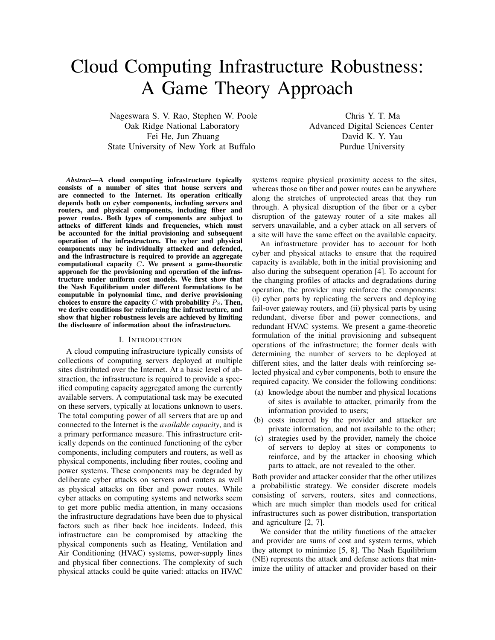# Cloud Computing Infrastructure Robustness: A Game Theory Approach

Nageswara S. V. Rao, Stephen W. Poole Oak Ridge National Laboratory Fei He, Jun Zhuang State University of New York at Buffalo

Chris Y. T. Ma Advanced Digital Sciences Center David K. Y. Yau Purdue University

*Abstract*—A cloud computing infrastructure typically consists of a number of sites that house servers and are connected to the Internet. Its operation critically depends both on cyber components, including servers and routers, and physical components, including fiber and power routes. Both types of components are subject to attacks of different kinds and frequencies, which must be accounted for the initial provisioning and subsequent operation of the infrastructure. The cyber and physical components may be individually attacked and defended, and the infrastructure is required to provide an aggregate computational capacity C. We present a game-theoretic approach for the provisioning and operation of the infrastructure under uniform cost models. We first show that the Nash Equilibrium under different formulations to be computable in polynomial time, and derive provisioning choices to ensure the capacity  $C$  with probability  $P_S$ . Then, we derive conditions for reinforcing the infrastructure, and show that higher robustness levels are achieved by limiting the disclosure of information about the infrastructure.

#### I. INTRODUCTION

A cloud computing infrastructure typically consists of collections of computing servers deployed at multiple sites distributed over the Internet. At a basic level of abstraction, the infrastructure is required to provide a specified computing capacity aggregated among the currently available servers. A computational task may be executed on these servers, typically at locations unknown to users. The total computing power of all servers that are up and connected to the Internet is the *available capacity*, and is a primary performance measure. This infrastructure critically depends on the continued functioning of the cyber components, including computers and routers, as well as physical components, including fiber routes, cooling and power systems. These components may be degraded by deliberate cyber attacks on servers and routers as well as physical attacks on fiber and power routes. While cyber attacks on computing systems and networks seem to get more public media attention, in many occasions the infrastructure degradations have been due to physical factors such as fiber back hoe incidents. Indeed, this infrastructure can be compromised by attacking the physical components such as Heating, Ventilation and Air Conditioning (HVAC) systems, power-supply lines and physical fiber connections. The complexity of such physical attacks could be quite varied: attacks on HVAC

systems require physical proximity access to the sites, whereas those on fiber and power routes can be anywhere along the stretches of unprotected areas that they run through. A physical disruption of the fiber or a cyber disruption of the gateway router of a site makes all servers unavailable, and a cyber attack on all servers of a site will have the same effect on the available capacity.

An infrastructure provider has to account for both cyber and physical attacks to ensure that the required capacity is available, both in the initial provisioning and also during the subsequent operation [4]. To account for the changing profiles of attacks and degradations during operation, the provider may reinforce the components: (i) cyber parts by replicating the servers and deploying fail-over gateway routers, and (ii) physical parts by using redundant, diverse fiber and power connections, and redundant HVAC systems. We present a game-theoretic formulation of the initial provisioning and subsequent operations of the infrastructure; the former deals with determining the number of servers to be deployed at different sites, and the latter deals with reinforcing selected physical and cyber components, both to ensure the required capacity. We consider the following conditions:

- (a) knowledge about the number and physical locations of sites is available to attacker, primarily from the information provided to users;
- (b) costs incurred by the provider and attacker are private information, and not available to the other;
- (c) strategies used by the provider, namely the choice of servers to deploy at sites or components to reinforce, and by the attacker in choosing which parts to attack, are not revealed to the other.

Both provider and attacker consider that the other utilizes a probabilistic strategy. We consider discrete models consisting of servers, routers, sites and connections, which are much simpler than models used for critical infrastructures such as power distribution, transportation and agriculture [2, 7].

We consider that the utility functions of the attacker and provider are sums of cost and system terms, which they attempt to minimize [5, 8]. The Nash Equilibrium (NE) represents the attack and defense actions that minimize the utility of attacker and provider based on their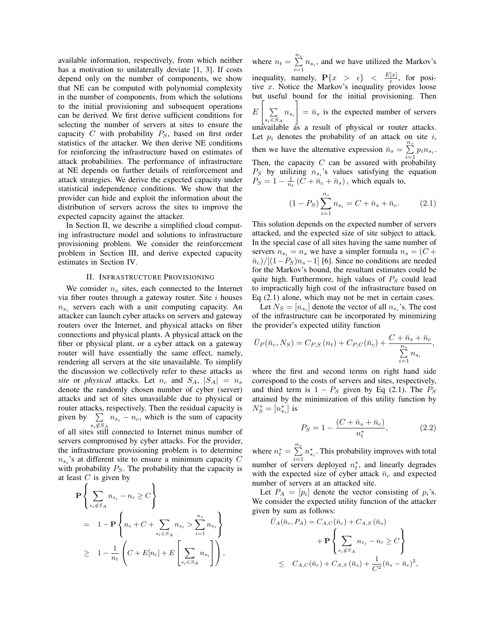available information, respectively, from which neither has a motivation to unilaterally deviate [1, 3]. If costs depend only on the number of components, we show that NE can be computed with polynomial complexity in the number of components, from which the solutions to the initial provisioning and subsequent operations can be derived. We first derive sufficient conditions for selecting the number of servers at sites to ensure the capacity  $C$  with probability  $P_S$ , based on first order statistics of the attacker. We then derive NE conditions for reinforcing the infrastructure based on estimates of attack probabilities. The performance of infrastructure at NE depends on further details of reinforcement and attack strategies. We derive the expected capacity under statistical independence conditions. We show that the provider can hide and exploit the information about the distribution of servers across the sites to improve the expected capacity against the attacker.

In Section II, we describe a simplified cloud computing infrastructure model and solutions to infrastructure provisioning problem. We consider the reinforcement problem in Section III, and derive expected capacity estimates in Section IV.

#### II. INFRASTRUCTURE PROVISIONING

We consider  $n_s$  sites, each connected to the Internet via fiber routes through a gateway router. Site  $i$  houses  $n_{s_i}$  servers each with a unit computing capacity. An attacker can launch cyber attacks on servers and gateway routers over the Internet, and physical attacks on fiber connections and physical plants. A physical attack on the fiber or physical plant, or a cyber attack on a gateway router will have essentially the same effect, namely, rendering all servers at the site unavailable. To simplify the discussion we collectively refer to these attacks as *site* or *physical* attacks. Let  $n_c$  and  $S_A$ ,  $|S_A| = n_s$ denote the randomly chosen number of cyber (server) attacks and set of sites unavailable due to physical or router attacks, respectively. Then the residual capacity is given by  $\sum n_{s_i} - n_c$ , which is the sum of capacity of all sites still connected to Internet minus number of servers compromised by cyber attacks. For the provider, the infrastructure provisioning problem is to determine  $n_{s_i}$ 's at different site to ensure a minimum capacity C with probability  $P<sub>S</sub>$ . The probability that the capacity is

at least *C* is given by  
\n
$$
\mathbf{P} \left\{ \sum_{s_i \notin S_A} n_{s_i} - n_c \ge C \right\}
$$
\n
$$
= 1 - \mathbf{P} \left\{ n_c + C + \sum_{s_i \in S_A} n_{s_i} > \sum_{i=1}^{n_s} n_{s_i} \right\}
$$
\n
$$
\ge 1 - \frac{1}{n_t} \left( C + E[n_c] + E\left[ \sum_{s_i \in S_A} n_{s_i} \right] \right),
$$

where  $n_t = \sum^{n_s}$  $\sum_{i=1}$   $n_{s_i}$ , and we have utilized the Markov's inequality, namely,  $\mathbf{P}\{x > \epsilon\} < \frac{E[x]}{\epsilon}$  $\frac{[x]}{\epsilon}$ , for positive  $x$ . Notice the Markov's inequality provides loose but useful bound for the initial provisioning. Then E  $\lceil$ P  $\sum_{s_i \in S_A} n_{s_i}$ 1  $=$   $\bar{n}_s$  is the expected number of servers unavailable as a result of physical or router attacks. Let  $p_i$  denotes the probability of an attack on site i, then we have the alternative expression  $\bar{n}_s = \sum_{i=1}^{n_s} p_i n_{s_i}$ . Then, the capacity C can be assured with probability  $P_S$  by utilizing  $n_{s_i}$ 's values satisfying the equation  $P_S = 1 - \frac{1}{n_t} (\bar{C} + \bar{n}_c + \bar{n}_s)$ , which equals to,

$$
(1 - P_S) \sum_{i=1}^{n_s} n_{s_i} = C + \bar{n}_s + \bar{n}_c.
$$
 (2.1)

This solution depends on the expected number of servers attacked, and the expected size of site subject to attack. In the special case of all sites having the same number of servers  $n_{s_i} = n_s$  we have a simpler formula  $n_s = (C +$  $\bar{n}_c$ )/[(1− $P_S$ ) $n_s$ −1] [6]. Since no conditions are needed for the Markov's bound, the resultant estimates could be quite high. Furthermore, high values of  $P<sub>S</sub>$  could lead to impractically high cost of the infrastructure based on Eq (2.1) alone, which may not be met in certain cases.

Let  $N_S = [n_{s_i}]$  denote the vector of all  $n_{s_i}$ 's. The cost of the infrastructure can be incorporated by minimizing the provider's expected utility function

$$
\bar{U}_P(\bar{n}_c, N_S) = C_{P,S}(n_t) + C_{P,C}(\bar{n}_c) + \frac{C + \bar{n}_s + \bar{n}_c}{\sum_{i=1}^{n_s} n_{s_i}},
$$

where the first and second terms on right hand side correspond to the costs of servers and sites, respectively, and third term is  $1 - P_S$  given by Eq (2.1). The  $P_S$ attained by the minimization of this utility function by  $N_S^*=[n_{s_i}^*]$  is

$$
P_S = 1 - \frac{(C + \bar{n}_s + \bar{n}_c)}{n_t^*},
$$
 (2.2)

where  $n_t^* = \sum_{i=1}^{n_s} n_{s_i}^*$ . This probability improves with total number of servers deployed  $n_t^*$ , and linearly degrades with the expected size of cyber attack  $\bar{n}_c$  and expected number of servers at an attacked site.

Let  $P_A = [p_i]$  denote the vector consisting of  $p_i$ 's. We consider the expected utility function of the attacker given by sum as follows:

$$
\bar{U}_{A}(\bar{n}_{c}, P_{A}) = C_{A,C}(\bar{n}_{c}) + C_{A,S}(\bar{n}_{s}) + \mathbf{P} \left\{ \sum_{s_{i} \notin S_{A}} n_{s_{i}} - n_{c} \ge C \right\}
$$
\n
$$
\le C_{A,C}(\bar{n}_{c}) + C_{A,S}(\bar{n}_{s}) + \frac{1}{C^{2}}(\bar{n}_{s} - \bar{n}_{c})^{2},
$$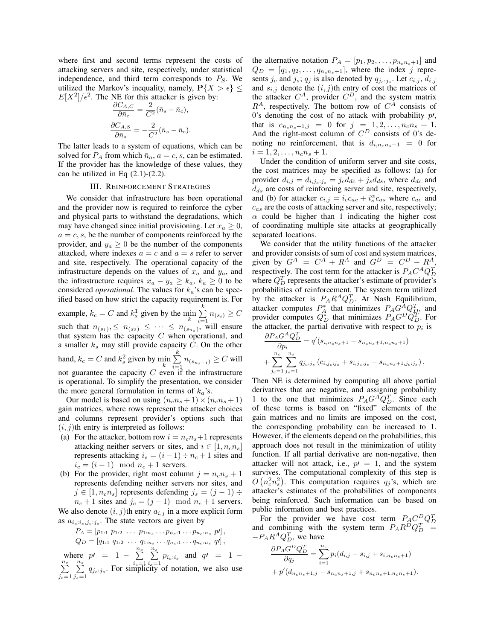where first and second terms represent the costs of attacking servers and site, respectively, under statistical independence, and third term corresponds to  $P<sub>S</sub>$ . We utilized the Markov's inequality, namely,  $P\{X > \epsilon\} \leq$  $E[X^2]/\epsilon^2$ . The NE for this attacker is given by:

$$
\frac{\partial C_{A,C}}{\partial \bar{n}_c} = \frac{2}{C^2} (\bar{n}_s - \bar{n}_c),
$$

$$
\frac{\partial C_{A,S}}{\partial \bar{n}_s} = -\frac{2}{C^2} (\bar{n}_s - \bar{n}_c).
$$

The latter leads to a system of equations, which can be solved for  $P_A$  from which  $\bar{n}_a$ ,  $a = c, s$ , can be estimated. If the provider has the knowledge of these values, they can be utilized in Eq  $(2.1)-(2.2)$ .

### III. REINFORCEMENT STRATEGIES

We consider that infrastructure has been operational and the provider now is required to reinforce the cyber and physical parts to withstand the degradations, which may have changed since initial provisioning. Let  $x_a \geq 0$ ,  $a = c, s$ , be the number of components reinforced by the provider, and  $y_a \geq 0$  be the number of the components attacked, where indexes  $a = c$  and  $a = s$  refer to server and site, respectively. The operational capacity of the infrastructure depends on the values of  $x_a$  and  $y_a$ , and the infrastructure requires  $x_a - y_a \ge k_a$ ,  $k_a \ge 0$  to be considered *operational*. The values for  $k_a$ 's can be specified based on how strict the capacity requirement is. For example,  $k_c = C$  and  $k_s^1$  given by the  $\min_k \sum_{i=1}^k$  $\sum_{i=1}^{\infty} n_{(s_i)} \geq C$ such that  $n_{(s_1)}, \leq n_{(s_2)} \leq \cdots \leq n_{(s_{n_s})}$ , will ensure that system has the capacity  $C$  when operational, and a smaller  $k_s$  may still provide capacity  $C$ . On the other hand,  $k_c = C$  and  $k_s^2$  given by  $\min_k \sum_{i=1}^k$  $\sum_{i=1}^n n_{(s_{n_s-i})} \geq C$  will not guarantee the capacity  $C$  even if the infrastructure is operational. To simplify the presentation, we consider the more general formulation in terms of  $k_a$ 's.

Our model is based on using  $(n_c n_s + 1) \times (n_c n_s + 1)$ gain matrices, where rows represent the attacker choices and columns represent provider's options such that  $(i, j)$ th entry is interpreted as follows:

- (a) For the attacker, bottom row  $i = n_c n_s + 1$  represents attacking neither servers or sites, and  $i \in [1, n_c n_s]$ represents attacking  $i_s = (i - 1) \div n_c + 1$  sites and  $i_c = (i-1) \mod n_c + 1$  servers.
- (b) For the provider, right most column  $j = n_c n_s + 1$ represents defending neither servers nor sites, and  $j \in [1, n_c n_s]$  represents defending  $j_s = (j - 1) \div \frac{1}{j}$  $n_c + 1$  sites and  $j_c = (j - 1) \mod n_c + 1$  servers. We also denote  $(i, j)$ th entry  $a_{i,j}$  in a more explicit form as  $a_{i_c:i_s,j_c:j_s}$ . The state vectors are given by

$$
P_A = [p_{1:1} \ p_{1:2} \ \cdots \ p_{1:n_s} \ \cdots p_{n_c:1} \ \cdots p_{n_c:n_s} \ p'],
$$
  
\n
$$
Q_D = [q_{1:1} \ q_{1:2} \ \cdots \ q_{1:n_s} \ \cdots q_{n_c:1} \cdots q_{n_c:n_s} \ q'],
$$
  
\nwhere  $p' = 1 - \sum_{i_c=1}^{n_c} \sum_{i_s=1}^{n_s} p_{i_c:i_s}$  and  $q' = 1 - \sum_{j_c=1}^{n_c} \sum_{j_s=1}^{n_s} q_{j_c:j_s}$ . For simplicity of notation, we also use

the alternative notation  $P_A = [p_1, p_2, \dots, p_{n_c n_s + 1}]$  and  $Q_D = [q_1, q_2, \dots, q_{n_c n_s + 1}]$ , where the index j represents  $j_c$  and  $j_s$ ;  $q_j$  is also denoted by  $q_{j_c:j_s}$ . Let  $c_{i,j}$ ,  $d_{i,j}$ and  $s_{i,j}$  denote the  $(i, j)$ th entry of cost the matrices of the attacker  $C^A$ , provider  $C^D$ , and the system matrix  $R^A$ , respectively. The bottom row of  $C^{\hat{A}}$  consists of 0's denoting the cost of no attack with probability  $p$ , that is  $c_{n_c n_s + 1, j} = 0$  for  $j = 1, 2, ..., n_c n_s + 1$ . And the right-most column of  $C^D$  consists of 0's denoting no reinforcement, that is  $d_{i,n_c,n_s+1} = 0$  for  $i = 1, 2, \ldots, n_c n_s + 1.$ 

Under the condition of uniform server and site costs, the cost matrices may be specified as follows: (a) for provider  $d_{i,j} = d_{i,j_c,j_s} = j_c d_{dc} + j_s d_{ds}$ , where  $d_{dc}$  and  $d_{ds}$  are costs of reinforcing server and site, respectively, and (b) for attacker  $c_{i,j} = i_c c_{ac} + i_s^{\alpha} c_{as}$  where  $c_{ac}$  and  $c_{as}$  are the costs of attacking server and site, respectively;  $\alpha$  could be higher than 1 indicating the higher cost of coordinating multiple site attacks at geographically separated locations.

We consider that the utility functions of the attacker and provider consists of sum of cost and system matrices, given by  $G^A = C^A + R^A$  and  $G^D = C^D - R^A$ , respectively. The cost term for the attacker is  $P_A C^A Q_D^T$ where  $Q_D^T$  represents the attacker's estimate of provider's probabilities of reinforcement. The system term utilized by the attacker is  $P_A R^A Q_D^T$ . At Nash Equilibrium, attacker computes  $P_A^*$  that minimizes  $P_A G_A^A Q_B^T$ , and provider computes  $Q_D^*$  that minimizes  $P_A G^D Q_D^T$ . For the attacker, the partial derivative with respect to  $p_i$  is

$$
\frac{\partial P_A G^A Q^T_D}{\partial p_i} = q'(s_{i, n_c n_s + 1} - s_{n_c n_s + 1, n_c n_s + 1}) + \sum_{j_c=1}^{n_c} \sum_{j_s=1}^{n_s} q_{j_c; j_s} (c_{i, j_c; j_s} + s_{i, j_c; j_s} - s_{n_c n_s + 1, j_c; j_s}),
$$

Then NE is determined by computing all above partial derivatives that are negative, and assigning probability 1 to the one that minimizes  $P_A G^A Q_D^T$ . Since each of these terms is based on "fixed" elements of the gain matrices and no limits are imposed on the cost, the corresponding probability can be increased to 1. However, if the elements depend on the probabilities, this approach does not result in the minimization of utility function. If all partial derivative are non-negative, then attacker will not attack, i.e.,  $p = 1$ , and the system survives. The computational complexity of this step is  $O(n_c^2 n_s^2)$ . This computation requires  $q_j$ 's, which are attacker's estimates of the probabilities of components being reinforced. Such information can be based on public information and best practices.

For the provider we have cost term  $P_A C_D^D Q_D^T$ and combining with the system term  $P_A R^D Q_D^T =$  $-P_A R^A Q_D^T$ , we have

$$
\frac{\partial P_A G^D Q_D^T}{\partial q_j} = \sum_{i=1}^{n_c} p_i (d_{i,j} - s_{i,j} + s_{i,n_c n_s + 1}) + p'(d_{n_c n_s + 1,j} - s_{n_c n_s + 1,j} + s_{n_c n_s + 1, n_c n_s + 1}).
$$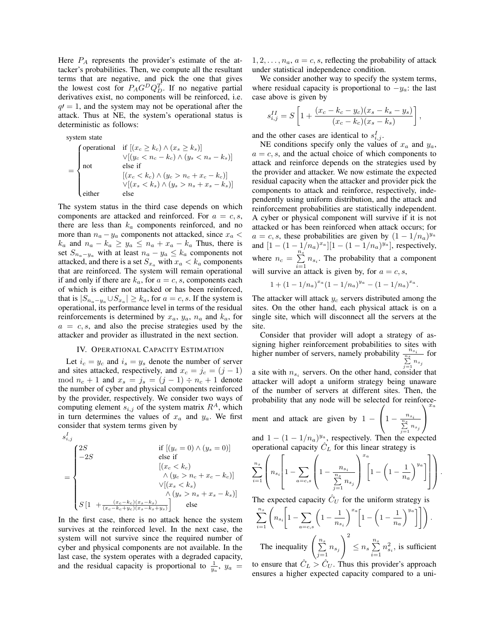Here  $P_A$  represents the provider's estimate of the attacker's probabilities. Then, we compute all the resultant terms that are negative, and pick the one that gives the lowest cost for  $P_A G^D Q_D^T$ . If no negative partial derivatives exist, no components will be reinforced, i.e.  $q = 1$ , and the system may not be operational after the attack. Thus at NE, the system's operational status is deterministic as follows:

system state

$$
= \begin{cases} \text{operational} & \text{if } [(x_c \ge k_c) \land (x_s \ge k_s)] \\ & \lor [(y_c < n_c - k_c) \land (y_s < n_s - k_s)] \\ \text{not} & \text{else if} \\ & [(x_c < k_c) \land (y_c > n_c + x_c - k_c)] \\ & \lor [(x_s < k_s) \land (y_s > n_s + x_s - k_s)] \\ \text{either} & \text{else} \end{cases}
$$

The system status in the third case depends on which components are attacked and reinforced. For  $a = c, s$ , there are less than  $k_a$  components reinforced, and no more than  $n_a - y_a$  components not attacked, since  $x_a$  <  $k_a$  and  $n_a - k_a \ge y_a \le n_a + x_a - k_a$  Thus, there is set  $S_{n_a-y_a}$  with at least  $n_a - y_a \leq k_a$  components not attacked, and there is a set  $S_{x_a}$  with  $x_a < k_a$  components that are reinforced. The system will remain operational if and only if there are  $k_a$ , for  $a = c, s$ , components each of which is either not attacked or has been reinforced, that is  $|S_{n_a-y_a} \cup S_{x_a}| \ge k_a$ , for  $a=c,s$ . If the system is operational, its performance level in terms of the residual reinforcements is determined by  $x_a$ ,  $y_a$ ,  $n_a$  and  $k_a$ , for  $a = c, s$ , and also the precise strategies used by the attacker and provider as illustrated in the next section.

## IV. OPERATIONAL CAPACITY ESTIMATION

Let  $i_c = y_c$  and  $i_s = y_s$  denote the number of server and sites attacked, respectively, and  $x_c = j_c = (j - 1)$ mod  $n_c + 1$  and  $x_s = j_s = (j - 1) \div n_c + 1$  denote the number of cyber and physical components reinforced by the provider, respectively. We consider two ways of computing element  $s_{i,j}$  of the system matrix  $R<sup>A</sup>$ , which in turn determines the values of  $x_a$  and  $y_a$ . We first consider that system terms given by

$$
s_{i,j}^I
$$

$$
= \begin{cases} 2S & \text{if } [(y_c = 0) \land (y_s = 0)] \\ -2S & \text{else if} \\ & [(x_c < k_c) \land (y_c > n_c + x_c - k_c)] \\ & \land [(y_c < k_s) \land (y_s > n_s + x_s - k_s)] \\ S[1 + \frac{(x_c - k_c)(x_s - k_s)}{(x_c - k_c + y_c)(x_s - k_s + y_s)}] & \text{else} \end{cases}
$$

In the first case, there is no attack hence the system survives at the reinforced level. In the next case, the system will not survive since the required number of cyber and physical components are not available. In the last case, the system operates with a degraded capacity, and the residual capacity is proportional to  $\frac{1}{y_a}$ ,  $y_a$  =

 $1, 2, \ldots, n_a, a = c, s$ , reflecting the probability of attack under statistical independence condition.

We consider another way to specify the system terms, where residual capacity is proportional to  $-y_a$ : the last case above is given by

$$
s_{i,j}^{II} = S \left[ 1 + \frac{(x_c - k_c - y_c)(x_s - k_s - y_s)}{(x_c - k_c)(x_s - k_s)} \right],
$$

and the other cases are identical to  $s_{i,j}^I$ .

NE conditions specify only the values of  $x_a$  and  $y_a$ ,  $a = c, s$ , and the actual choice of which components to attack and reinforce depends on the strategies used by the provider and attacker. We now estimate the expected residual capacity when the attacker and provider pick the components to attack and reinforce, respectively, independently using uniform distribution, and the attack and reinforcement probabilities are statistically independent. A cyber or physical component will survive if it is not attacked or has been reinforced when attack occurs; for  $a = c, s$ , these probabilities are given by  $(1 - 1/n_a)^{y_a}$ and  $[1 - (1 - 1/n_a)^{x_a}][1 - (1 - 1/n_a)^{y_a}]$ , respectively, where  $n_c = \sum^{n_s}$  $\sum_{i=1}^n n_{s_i}$ . The probability that a component will survive an attack is given by, for  $a = c, s$ ,

$$
1 + (1 - 1/n_a)^{x_a} (1 - 1/n_a)^{y_a} - (1 - 1/n_a)^{x_a}.
$$

The attacker will attack  $y_c$  servers distributed among the sites. On the other hand, each physical attack is on a single site, which will disconnect all the servers at the site.

Consider that provider will adopt a strategy of assigning higher reinforcement probabilities to sites with higher number of servers, namely probability  $\frac{n_{s_i}}{\sum\limits_{j=1}^{n_s} n_{s_j}}$ for

a site with  $n_{s_i}$  servers. On the other hand, consider that attacker will adopt a uniform strategy being unaware of the number of servers at different sites. Then, the probability that any node will be selected for reinforce- $\sqrt{ }$  $\setminus$ 

ment and attack are given by  $1 -$ 

and  $1 - (1 - 1/n_a)^{y_a}$ , respectively. Then the expected operational capacity  $C_L$  for this linear strategy is

 $\left(1-\frac{n_{s_i}}{\sum_{i=1}^{n_s}n_i}\right)$  $\sum_{j=1}^{n_s} n_{s_j}$ 

 $\overline{1}$ 

$$
\sum_{i=1}^{n_s} \left( n_{s_i} \left[ 1 - \sum_{a=c,s} \left( 1 - \frac{n_{s_i}}{\sum\limits_{j=1}^{n_s} n_{s_j}} \right)^{x_a} \left[ 1 - \left( 1 - \frac{1}{n_a} \right)^{y_a} \right] \right] \right).
$$

The expected capacity  $C_U$  for the uniform strategy is

$$
\sum_{i=1}^{n_s} \left( n_{s_i} \left[ 1 - \sum_{a=c,s} \left( 1 - \frac{1}{n_{s_i}} \right)^{x_a} \left[ 1 - \left( 1 - \frac{1}{n_a} \right)^{y_a} \right] \right] \right).
$$
  
The inequality 
$$
\left( \sum_{j=1}^{n_s} n_{s_j} \right)^2 \le n_s \sum_{i=1}^{n_s} n_{s_i}^2
$$
, is sufficient  
to ensure that  $\hat{C}_L > \hat{C}_U$ . Thus this provider's approach  
ensures a higher expected capacity compared to a uni-